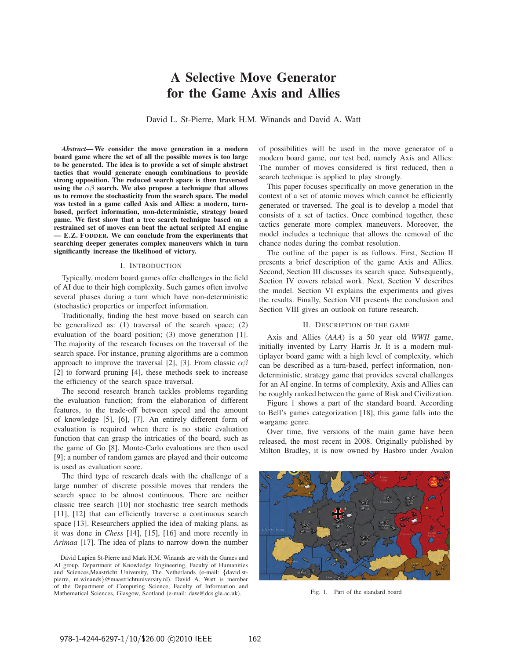# A Selective Move Generator for the Game Axis and Allies

David L. St-Pierre, Mark H.M. Winands and David A. Watt

*Abstract*— We consider the move generation in a modern board game where the set of all the possible moves is too large to be generated. The idea is to provide a set of simple abstract tactics that would generate enough combinations to provide strong opposition. The reduced search space is then traversed using the  $\alpha\beta$  search. We also propose a technique that allows us to remove the stochasticity from the search space. The model was tested in a game called Axis and Allies: a modern, turnbased, perfect information, non-deterministic, strategy board game. We first show that a tree search technique based on a restrained set of moves can beat the actual scripted AI engine — E.Z. FODDER. We can conclude from the experiments that searching deeper generates complex maneuvers which in turn significantly increase the likelihood of victory.

#### I. INTRODUCTION

Typically, modern board games offer challenges in the field of AI due to their high complexity. Such games often involve several phases during a turn which have non-deterministic (stochastic) properties or imperfect information.

Traditionally, finding the best move based on search can be generalized as: (1) traversal of the search space; (2) evaluation of the board position; (3) move generation [1]. The majority of the research focuses on the traversal of the search space. For instance, pruning algorithms are a common approach to improve the traversal [2], [3]. From classic  $\alpha\beta$ [2] to forward pruning [4], these methods seek to increase the efficiency of the search space traversal.

The second research branch tackles problems regarding the evaluation function; from the elaboration of different features, to the trade-off between speed and the amount of knowledge [5], [6], [7]. An entirely different form of evaluation is required when there is no static evaluation function that can grasp the intricaties of the board, such as the game of Go [8]. Monte-Carlo evaluations are then used [9]; a number of random games are played and their outcome is used as evaluation score.

The third type of research deals with the challenge of a large number of discrete possible moves that renders the search space to be almost continuous. There are neither classic tree search [10] nor stochastic tree search methods [11], [12] that can efficiently traverse a continuous search space [13]. Researchers applied the idea of making plans, as it was done in *Chess* [14], [15], [16] and more recently in *Arimaa* [17]. The idea of plans to narrow down the number of possibilities will be used in the move generator of a modern board game, our test bed, namely Axis and Allies: The number of moves considered is first reduced, then a search technique is applied to play strongly.

This paper focuses specifically on move generation in the context of a set of atomic moves which cannot be efficiently generated or traversed. The goal is to develop a model that consists of a set of tactics. Once combined together, these tactics generate more complex maneuvers. Moreover, the model includes a technique that allows the removal of the chance nodes during the combat resolution.

The outline of the paper is as follows. First, Section II presents a brief description of the game Axis and Allies. Second, Section III discusses its search space. Subsequently, Section IV covers related work. Next, Section V describes the model. Section VI explains the experiments and gives the results. Finally, Section VII presents the conclusion and Section VIII gives an outlook on future research.

#### II. DESCRIPTION OF THE GAME

Axis and Allies (*AAA*) is a 50 year old *WWII* game, initially invented by Larry Harris Jr. It is a modern multiplayer board game with a high level of complexity, which can be described as a turn-based, perfect information, nondeterministic, strategy game that provides several challenges for an AI engine. In terms of complexity, Axis and Allies can be roughly ranked between the game of Risk and Civilization.

Figure 1 shows a part of the standard board. According to Bell's games categorization [18], this game falls into the wargame genre.

Over time, five versions of the main game have been released, the most recent in 2008. Originally published by Milton Bradley, it is now owned by Hasbro under Avalon



Fig. 1. Part of the standard board

David Lupien St-Pierre and Mark H.M. Winands are with the Games and AI group, Department of Knowledge Engineering, Faculty of Humanities and Sciences,Maastricht University, The Netherlands (e-mail: {david.stpierre, m.winands}@maastrichtuniversity.nl). David A. Watt is member of the Department of Computing Science, Faculty of Information and Mathematical Sciences, Glasgow, Scotland (e-mail: daw@dcs.gla.ac.uk).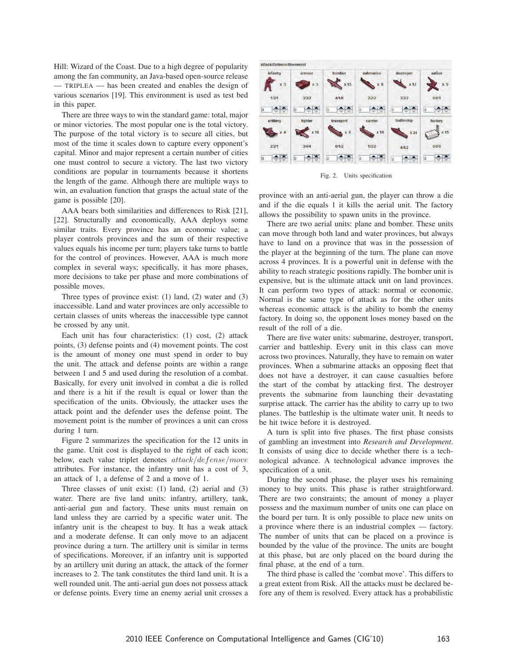Hill: Wizard of the Coast. Due to a high degree of popularity among the fan community, an Java-based open-source release — TRIPLEA — has been created and enables the design of various scenarios [19]. This environment is used as test bed in this paper.

There are three ways to win the standard game: total, major or minor victories. The most popular one is the total victory. The purpose of the total victory is to secure all cities, but most of the time it scales down to capture every opponent's capital. Minor and major represent a certain number of cities one must control to secure a victory. The last two victory conditions are popular in tournaments because it shortens the length of the game. Although there are multiple ways to win, an evaluation function that grasps the actual state of the game is possible [20].

AAA bears both similarities and differences to Risk [21], [22]. Structurally and economically, AAA deploys some similar traits. Every province has an economic value; a player controls provinces and the sum of their respective values equals his income per turn; players take turns to battle for the control of provinces. However, AAA is much more complex in several ways; specifically, it has more phases, more decisions to take per phase and more combinations of possible moves.

Three types of province exist: (1) land, (2) water and (3) inaccessible. Land and water provinces are only accessible to certain classes of units whereas the inaccessible type cannot be crossed by any unit.

Each unit has four characteristics: (1) cost, (2) attack points, (3) defense points and (4) movement points. The cost is the amount of money one must spend in order to buy the unit. The attack and defense points are within a range between 1 and 5 and used during the resolution of a combat. Basically, for every unit involved in combat a die is rolled and there is a hit if the result is equal or lower than the specification of the units. Obviously, the attacker uses the attack point and the defender uses the defense point. The movement point is the number of provinces a unit can cross during 1 turn.

Figure 2 summarizes the specification for the 12 units in the game. Unit cost is displayed to the right of each icon; below, each value triplet denotes attack/defense/move attributes. For instance, the infantry unit has a cost of 3, an attack of 1, a defense of 2 and a move of 1.

Three classes of unit exist: (1) land, (2) aerial and (3) water. There are five land units: infantry, artillery, tank, anti-aerial gun and factory. These units must remain on land unless they are carried by a specific water unit. The infantry unit is the cheapest to buy. It has a weak attack and a moderate defense. It can only move to an adjacent province during a turn. The artillery unit is similar in terms of specifications. Moreover, if an infantry unit is supported by an artillery unit during an attack, the attack of the former increases to 2. The tank constitutes the third land unit. It is a well rounded unit. The anti-aerial gun does not possess attack or defense points. Every time an enemy aerial unit crosses a



Fig. 2. Units specification

province with an anti-aerial gun, the player can throw a die and if the die equals 1 it kills the aerial unit. The factory allows the possibility to spawn units in the province.

There are two aerial units: plane and bomber. These units can move through both land and water provinces, but always have to land on a province that was in the possession of the player at the beginning of the turn. The plane can move across 4 provinces. It is a powerful unit in defense with the ability to reach strategic positions rapidly. The bomber unit is expensive, but is the ultimate attack unit on land provinces. It can perform two types of attack: normal or economic. Normal is the same type of attack as for the other units whereas economic attack is the ability to bomb the enemy factory. In doing so, the opponent loses money based on the result of the roll of a die.

There are five water units: submarine, destroyer, transport, carrier and battleship. Every unit in this class can move across two provinces. Naturally, they have to remain on water provinces. When a submarine attacks an opposing fleet that does not have a destroyer, it can cause casualties before the start of the combat by attacking first. The destroyer prevents the submarine from launching their devastating surprise attack. The carrier has the ability to carry up to two planes. The battleship is the ultimate water unit. It needs to be hit twice before it is destroyed.

A turn is split into five phases. The first phase consists of gambling an investment into *Research and Development*. It consists of using dice to decide whether there is a technological advance. A technological advance improves the specification of a unit.

During the second phase, the player uses his remaining money to buy units. This phase is rather straightforward. There are two constraints; the amount of money a player possess and the maximum number of units one can place on the board per turn. It is only possible to place new units on a province where there is an industrial complex — factory. The number of units that can be placed on a province is bounded by the value of the province. The units are bought at this phase, but are only placed on the board during the final phase, at the end of a turn.

The third phase is called the 'combat move'. This differs to a great extent from Risk. All the attacks must be declared before any of them is resolved. Every attack has a probabilistic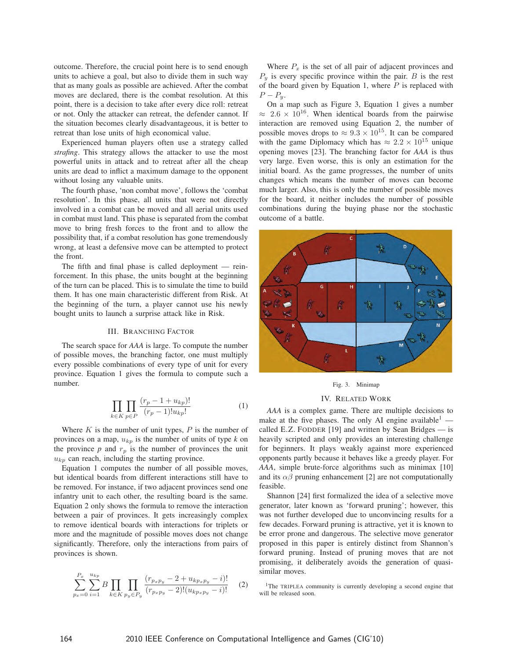outcome. Therefore, the crucial point here is to send enough units to achieve a goal, but also to divide them in such way that as many goals as possible are achieved. After the combat moves are declared, there is the combat resolution. At this point, there is a decision to take after every dice roll: retreat or not. Only the attacker can retreat, the defender cannot. If the situation becomes clearly disadvantageous, it is better to retreat than lose units of high economical value.

Experienced human players often use a strategy called *strafing*. This strategy allows the attacker to use the most powerful units in attack and to retreat after all the cheap units are dead to inflict a maximum damage to the opponent without losing any valuable units.

The fourth phase, 'non combat move', follows the 'combat resolution'. In this phase, all units that were not directly involved in a combat can be moved and all aerial units used in combat must land. This phase is separated from the combat move to bring fresh forces to the front and to allow the possibility that, if a combat resolution has gone tremendously wrong, at least a defensive move can be attempted to protect the front.

The fifth and final phase is called deployment — reinforcement. In this phase, the units bought at the beginning of the turn can be placed. This is to simulate the time to build them. It has one main characteristic different from Risk. At the beginning of the turn, a player cannot use his newly bought units to launch a surprise attack like in Risk.

#### III. BRANCHING FACTOR

The search space for *AAA* is large. To compute the number of possible moves, the branching factor, one must multiply every possible combinations of every type of unit for every province. Equation 1 gives the formula to compute such a number.

$$
\prod_{k \in K} \prod_{p \in P} \frac{(r_p - 1 + u_{kp})!}{(r_p - 1)! u_{kp}!} \tag{1}
$$

Where  $K$  is the number of unit types,  $P$  is the number of provinces on a map,  $u_{kp}$  is the number of units of type  $k$  on the province  $p$  and  $r_p$  is the number of provinces the unit  $u_{kn}$  can reach, including the starting province.

Equation 1 computes the number of all possible moves, but identical boards from different interactions still have to be removed. For instance, if two adjacent provinces send one infantry unit to each other, the resulting board is the same. Equation 2 only shows the formula to remove the interaction between a pair of provinces. It gets increasingly complex to remove identical boards with interactions for triplets or more and the magnitude of possible moves does not change significantly. Therefore, only the interactions from pairs of provinces is shown.

$$
\sum_{p_x=0}^{P_x} \sum_{i=1}^{u_{kp}} B \prod_{k \in K} \prod_{p_y \in P_y} \frac{(r_{p_x p_y} - 2 + u_{kp_x p_y} - i)!}{(r_{p_x p_y} - 2)!(u_{kp_x p_y} - i)!} \tag{2}
$$

Where  $P_x$  is the set of all pair of adjacent provinces and  $P_y$  is every specific province within the pair. B is the rest of the board given by Equation 1, where  $P$  is replaced with  $P - P_y$ .

On a map such as Figure 3, Equation 1 gives a number  $\approx 2.6 \times 10^{16}$ . When identical boards from the pairwise interaction are removed using Equation 2, the number of possible moves drops to  $\approx 9.3 \times 10^{15}$ . It can be compared with the game Diplomacy which has  $\approx 2.2 \times 10^{15}$  unique opening moves [23]. The branching factor for *AAA* is thus very large. Even worse, this is only an estimation for the initial board. As the game progresses, the number of units changes which means the number of moves can become much larger. Also, this is only the number of possible moves for the board, it neither includes the number of possible combinations during the buying phase nor the stochastic outcome of a battle.



Fig. 3. Minimap

#### IV. RELATED WORK

*AAA* is a complex game. There are multiple decisions to make at the five phases. The only AI engine available<sup>1</sup> called E.Z. FODDER [19] and written by Sean Bridges — is heavily scripted and only provides an interesting challenge for beginners. It plays weakly against more experienced opponents partly because it behaves like a greedy player. For *AAA*, simple brute-force algorithms such as minimax [10] and its  $\alpha\beta$  pruning enhancement [2] are not computationally feasible.

Shannon [24] first formalized the idea of a selective move generator, later known as 'forward pruning'; however, this was not further developed due to unconvincing results for a few decades. Forward pruning is attractive, yet it is known to be error prone and dangerous. The selective move generator proposed in this paper is entirely distinct from Shannon's forward pruning. Instead of pruning moves that are not promising, it deliberately avoids the generation of quasisimilar moves.

<sup>1</sup>The TRIPLEA community is currently developing a second engine that will be released soon.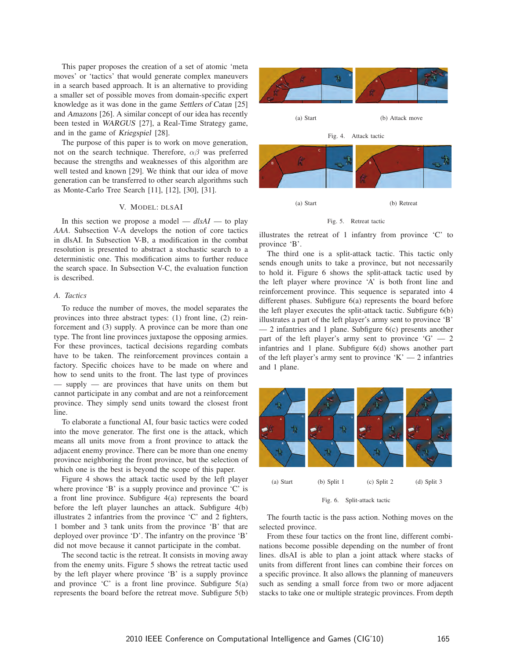This paper proposes the creation of a set of atomic 'meta moves' or 'tactics' that would generate complex maneuvers in a search based approach. It is an alternative to providing a smaller set of possible moves from domain-specific expert knowledge as it was done in the game Settlers of Catan [25] and Amazons [26]. A similar concept of our idea has recently been tested in WARGUS [27], a Real-Time Strategy game, and in the game of Kriegspiel [28].

The purpose of this paper is to work on move generation, not on the search technique. Therefore,  $\alpha\beta$  was preferred because the strengths and weaknesses of this algorithm are well tested and known [29]. We think that our idea of move generation can be transferred to other search algorithms such as Monte-Carlo Tree Search [11], [12], [30], [31].

#### V. MODEL: DLSAI

In this section we propose a model —  $dlsAI$  — to play *AAA*. Subsection V-A develops the notion of core tactics in dlsAI. In Subsection V-B, a modification in the combat resolution is presented to abstract a stochastic search to a deterministic one. This modification aims to further reduce the search space. In Subsection V-C, the evaluation function is described.

## *A. Tactics*

To reduce the number of moves, the model separates the provinces into three abstract types: (1) front line, (2) reinforcement and (3) supply. A province can be more than one type. The front line provinces juxtapose the opposing armies. For these provinces, tactical decisions regarding combats have to be taken. The reinforcement provinces contain a factory. Specific choices have to be made on where and how to send units to the front. The last type of provinces — supply — are provinces that have units on them but cannot participate in any combat and are not a reinforcement province. They simply send units toward the closest front line.

To elaborate a functional AI, four basic tactics were coded into the move generator. The first one is the attack, which means all units move from a front province to attack the adjacent enemy province. There can be more than one enemy province neighboring the front province, but the selection of which one is the best is beyond the scope of this paper.

Figure 4 shows the attack tactic used by the left player where province 'B' is a supply province and province 'C' is a front line province. Subfigure 4(a) represents the board before the left player launches an attack. Subfigure 4(b) illustrates 2 infantries from the province 'C' and 2 fighters, 1 bomber and 3 tank units from the province 'B' that are deployed over province 'D'. The infantry on the province 'B' did not move because it cannot participate in the combat.

The second tactic is the retreat. It consists in moving away from the enemy units. Figure 5 shows the retreat tactic used by the left player where province 'B' is a supply province and province  $\mathcal{C}'$  is a front line province. Subfigure  $5(a)$ represents the board before the retreat move. Subfigure 5(b)



(a) Start (b) Attack move

Fig. 4. Attack tactic



Fig. 5. Retreat tactic

illustrates the retreat of 1 infantry from province 'C' to province 'B'.

The third one is a split-attack tactic. This tactic only sends enough units to take a province, but not necessarily to hold it. Figure 6 shows the split-attack tactic used by the left player where province 'A' is both front line and reinforcement province. This sequence is separated into 4 different phases. Subfigure 6(a) represents the board before the left player executes the split-attack tactic. Subfigure 6(b) illustrates a part of the left player's army sent to province 'B' — 2 infantries and 1 plane. Subfigure 6(c) presents another part of the left player's army sent to province  $G' - 2$ infantries and 1 plane. Subfigure 6(d) shows another part of the left player's army sent to province  $K' - 2$  infantries and 1 plane.



Fig. 6. Split-attack tactic

The fourth tactic is the pass action. Nothing moves on the selected province.

From these four tactics on the front line, different combinations become possible depending on the number of front lines. dlsAI is able to plan a joint attack where stacks of units from different front lines can combine their forces on a specific province. It also allows the planning of maneuvers such as sending a small force from two or more adjacent stacks to take one or multiple strategic provinces. From depth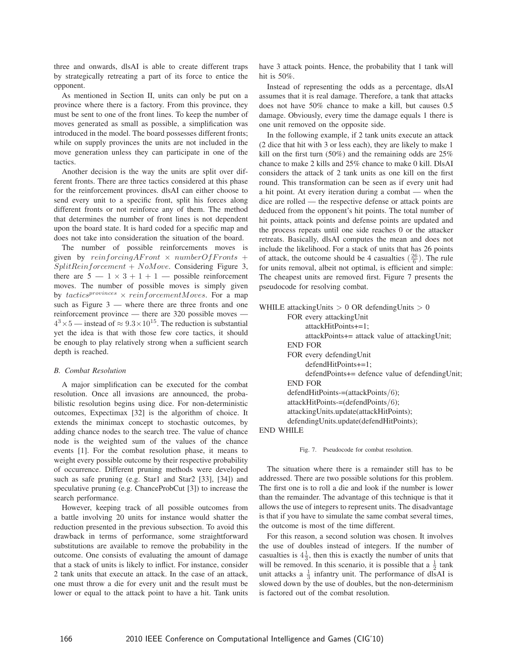three and onwards, dlsAI is able to create different traps by strategically retreating a part of its force to entice the opponent.

As mentioned in Section II, units can only be put on a province where there is a factory. From this province, they must be sent to one of the front lines. To keep the number of moves generated as small as possible, a simplification was introduced in the model. The board possesses different fronts; while on supply provinces the units are not included in the move generation unless they can participate in one of the tactics.

Another decision is the way the units are split over different fronts. There are three tactics considered at this phase for the reinforcement provinces. dlsAI can either choose to send every unit to a specific front, split his forces along different fronts or not reinforce any of them. The method that determines the number of front lines is not dependent upon the board state. It is hard coded for a specific map and does not take into consideration the situation of the board.

The number of possible reinforcements moves is given by  $reinforcingAFront \times numberOfFront +$  $SplitReinforcement + NoMove$ . Considering Figure 3, there are  $5 - 1 \times 3 + 1 + 1$  — possible reinforcement moves. The number of possible moves is simply given by tactics<sup>provinces</sup>  $\times$  reinforcementMoves. For a map such as Figure 3 — where there are three fronts and one reinforcement province — there are 320 possible moves —  $4^{3} \times 5$  — instead of  $\approx 9.3 \times 10^{15}$ . The reduction is substantial yet the idea is that with those few core tactics, it should be enough to play relatively strong when a sufficient search depth is reached.

#### *B. Combat Resolution*

A major simplification can be executed for the combat resolution. Once all invasions are announced, the probabilistic resolution begins using dice. For non-deterministic outcomes, Expectimax [32] is the algorithm of choice. It extends the minimax concept to stochastic outcomes, by adding chance nodes to the search tree. The value of chance node is the weighted sum of the values of the chance events [1]. For the combat resolution phase, it means to weight every possible outcome by their respective probability of occurrence. Different pruning methods were developed such as safe pruning (e.g. Star1 and Star2 [33], [34]) and speculative pruning (e.g. ChanceProbCut [3]) to increase the search performance.

However, keeping track of all possible outcomes from a battle involving 20 units for instance would shatter the reduction presented in the previous subsection. To avoid this drawback in terms of performance, some straightforward substitutions are available to remove the probability in the outcome. One consists of evaluating the amount of damage that a stack of units is likely to inflict. For instance, consider 2 tank units that execute an attack. In the case of an attack, one must throw a die for every unit and the result must be lower or equal to the attack point to have a hit. Tank units have 3 attack points. Hence, the probability that 1 tank will hit is 50%.

Instead of representing the odds as a percentage, dlsAI assumes that it is real damage. Therefore, a tank that attacks does not have 50% chance to make a kill, but causes 0.5 damage. Obviously, every time the damage equals 1 there is one unit removed on the opposite side.

In the following example, if 2 tank units execute an attack (2 dice that hit with 3 or less each), they are likely to make 1 kill on the first turn (50%) and the remaining odds are 25% chance to make 2 kills and 25% chance to make 0 kill. DlsAI considers the attack of 2 tank units as one kill on the first round. This transformation can be seen as if every unit had a hit point. At every iteration during a combat — when the dice are rolled — the respective defense or attack points are deduced from the opponent's hit points. The total number of hit points, attack points and defense points are updated and the process repeats until one side reaches 0 or the attacker retreats. Basically, dlsAI computes the mean and does not include the likelihood. For a stack of units that has 26 points of attack, the outcome should be 4 casualties  $(\frac{26}{6})$ . The rule for units removal, albeit not optimal, is efficient and simple: The cheapest units are removed first. Figure 7 presents the pseudocode for resolving combat.

| WHILE attacking Units $> 0$ OR defending Units $> 0$ |
|------------------------------------------------------|
| FOR every attackingUnit                              |
| attackHitPoints+=1;                                  |
| attackPoints+= attack value of attackingUnit;        |
| <b>END FOR</b>                                       |
| FOR every defending Unit                             |
| $defendHitPoints+=1$ ;                               |
| defend Points+= defence value of defending Unit;     |
| <b>END FOR</b>                                       |
| $defendHitPoints = (attackPoints/6);$                |
| attackHitPoints-=(defendPoints/6);                   |
| attackingUnits.update(attackHitPoints);              |
| defendingUnits.update(defendHitPoints);              |
|                                                      |

END WHILE

Fig. 7. Pseudocode for combat resolution.

The situation where there is a remainder still has to be addressed. There are two possible solutions for this problem. The first one is to roll a die and look if the number is lower than the remainder. The advantage of this technique is that it allows the use of integers to represent units. The disadvantage is that if you have to simulate the same combat several times, the outcome is most of the time different.

For this reason, a second solution was chosen. It involves the use of doubles instead of integers. If the number of casualties is  $4\frac{1}{3}$ , then this is exactly the number of units that will be removed. In this scenario, it is possible that a  $\frac{1}{2}$  tank unit attacks a  $\frac{1}{3}$  infantry unit. The performance of dlsAI is slowed down by the use of doubles, but the non-determinism is factored out of the combat resolution.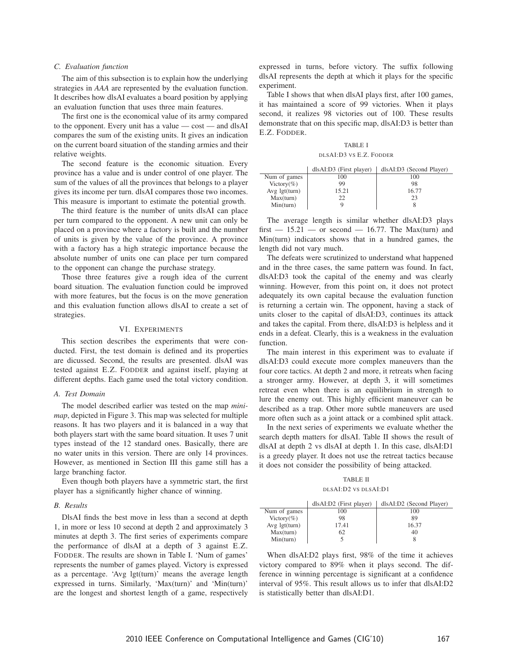### *C. Evaluation function*

The aim of this subsection is to explain how the underlying strategies in *AAA* are represented by the evaluation function. It describes how dlsAI evaluates a board position by applying an evaluation function that uses three main features.

The first one is the economical value of its army compared to the opponent. Every unit has a value — cost — and dlsAI compares the sum of the existing units. It gives an indication on the current board situation of the standing armies and their relative weights.

The second feature is the economic situation. Every province has a value and is under control of one player. The sum of the values of all the provinces that belongs to a player gives its income per turn. dlsAI compares those two incomes. This measure is important to estimate the potential growth.

The third feature is the number of units dlsAI can place per turn compared to the opponent. A new unit can only be placed on a province where a factory is built and the number of units is given by the value of the province. A province with a factory has a high strategic importance because the absolute number of units one can place per turn compared to the opponent can change the purchase strategy.

Those three features give a rough idea of the current board situation. The evaluation function could be improved with more features, but the focus is on the move generation and this evaluation function allows dlsAI to create a set of strategies.

#### VI. EXPERIMENTS

This section describes the experiments that were conducted. First, the test domain is defined and its properties are dicussed. Second, the results are presented. dlsAI was tested against E.Z. FODDER and against itself, playing at different depths. Each game used the total victory condition.

## *A. Test Domain*

The model described earlier was tested on the map *minimap*, depicted in Figure 3. This map was selected for multiple reasons. It has two players and it is balanced in a way that both players start with the same board situation. It uses 7 unit types instead of the 12 standard ones. Basically, there are no water units in this version. There are only 14 provinces. However, as mentioned in Section III this game still has a large branching factor.

Even though both players have a symmetric start, the first player has a significantly higher chance of winning.

#### *B. Results*

DlsAI finds the best move in less than a second at depth 1, in more or less 10 second at depth 2 and approximately 3 minutes at depth 3. The first series of experiments compare the performance of dlsAI at a depth of 3 against E.Z. FODDER. The results are shown in Table I. 'Num of games' represents the number of games played. Victory is expressed as a percentage. 'Avg lgt(turn)' means the average length expressed in turns. Similarly, 'Max(turn)' and 'Min(turn)' are the longest and shortest length of a game, respectively

expressed in turns, before victory. The suffix following dlsAI represents the depth at which it plays for the specific experiment.

Table I shows that when dlsAI plays first, after 100 games, it has maintained a score of 99 victories. When it plays second, it realizes 98 victories out of 100. These results demonstrate that on this specific map, dlsAI:D3 is better than E.Z. FODDER.

TABLE I DLSAI:D3 VS E.Z. FODDER

|                 | dlsAI:D3 (First player) | dlsAI:D3 (Second Player) |
|-----------------|-------------------------|--------------------------|
| Num of games    | 100                     | 100                      |
| Victory(%)      | 99                      | 98                       |
| Avg $lgt(turn)$ | 15.21                   | 16.77                    |
| Max(turn)       | 22                      | 23                       |
| Min(turn)       |                         |                          |

The average length is similar whether dlsAI:D3 plays first  $- 15.21 - or second - 16.77$ . The Max(turn) and Min(turn) indicators shows that in a hundred games, the length did not vary much.

The defeats were scrutinized to understand what happened and in the three cases, the same pattern was found. In fact, dlsAI:D3 took the capital of the enemy and was clearly winning. However, from this point on, it does not protect adequately its own capital because the evaluation function is returning a certain win. The opponent, having a stack of units closer to the capital of dlsAI:D3, continues its attack and takes the capital. From there, dlsAI:D3 is helpless and it ends in a defeat. Clearly, this is a weakness in the evaluation function.

The main interest in this experiment was to evaluate if dlsAI:D3 could execute more complex maneuvers than the four core tactics. At depth 2 and more, it retreats when facing a stronger army. However, at depth 3, it will sometimes retreat even when there is an equilibrium in strength to lure the enemy out. This highly efficient maneuver can be described as a trap. Other more subtle maneuvers are used more often such as a joint attack or a combined split attack.

In the next series of experiments we evaluate whether the search depth matters for dlsAI. Table II shows the result of dlsAI at depth 2 vs dlsAI at depth 1. In this case, dlsAI:D1 is a greedy player. It does not use the retreat tactics because it does not consider the possibility of being attacked.

TABLE II DLSAI:D2 VS DLSAI:D1

|                 | dlsAI:D2 (First player) | dlsAI:D2 (Second Player) |
|-----------------|-------------------------|--------------------------|
| Num of games    | 100                     | 100                      |
| Victory(%)      | 98                      | 89                       |
| Avg $lgt(turn)$ | 17.41                   | 16.37                    |
| Max(turn)       | 62                      | 40                       |
| Min(turn)       |                         |                          |

When dlsAI:D2 plays first, 98% of the time it achieves victory compared to 89% when it plays second. The difference in winning percentage is significant at a confidence interval of 95%. This result allows us to infer that dlsAI:D2 is statistically better than dlsAI:D1.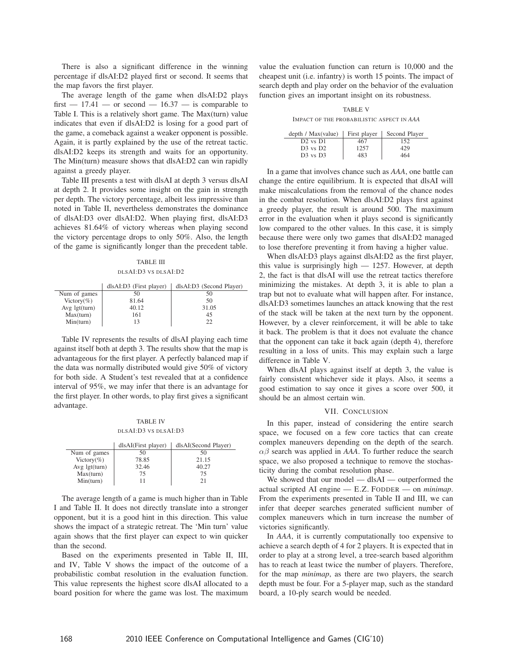There is also a significant difference in the winning percentage if dlsAI:D2 played first or second. It seems that the map favors the first player.

The average length of the game when dlsAI:D2 plays first  $-17.41$  — or second  $-16.37$  — is comparable to Table I. This is a relatively short game. The Max(turn) value indicates that even if dlsAI:D2 is losing for a good part of the game, a comeback against a weaker opponent is possible. Again, it is partly explained by the use of the retreat tactic. dlsAI:D2 keeps its strength and waits for an opportunity. The Min(turn) measure shows that dlsAI:D2 can win rapidly against a greedy player.

Table III presents a test with dlsAI at depth 3 versus dlsAI at depth 2. It provides some insight on the gain in strength per depth. The victory percentage, albeit less impressive than noted in Table II, nevertheless demonstrates the dominance of dlsAI:D3 over dlsAI:D2. When playing first, dlsAI:D3 achieves 81.64% of victory whereas when playing second the victory percentage drops to only 50%. Also, the length of the game is significantly longer than the precedent table.

# TABLE III DLSAI:D3 VS DLSAI:D2

|                 | $dlsAI:D3$ (First player) | dlsAI:D3 (Second Player) |
|-----------------|---------------------------|--------------------------|
| Num of games    | 50                        | 50                       |
| Victory(%)      | 81.64                     | 50                       |
| Avg $lgt(turn)$ | 40.12                     | 31.05                    |
| Max(turn)       | 161                       | 45                       |
| Min(turn)       | 13                        | つつ                       |

Table IV represents the results of dlsAI playing each time against itself both at depth 3. The results show that the map is advantageous for the first player. A perfectly balanced map if the data was normally distributed would give 50% of victory for both side. A Student's test revealed that at a confidence interval of 95%, we may infer that there is an advantage for the first player. In other words, to play first gives a significant advantage.

## TABLE IV DLSAI:D3 VS DLSAI:D3

|                 | dlsAI(First player) | dlsAI(Second Player) |
|-----------------|---------------------|----------------------|
| Num of games    | 50                  | 50                   |
| Victory(%)      | 78.85               | 21.15                |
| Avg $lgt(turn)$ | 32.46               | 40.27                |
| Max(turn)       | 75                  | 75                   |
| Min(turn)       | 11                  |                      |

The average length of a game is much higher than in Table I and Table II. It does not directly translate into a stronger opponent, but it is a good hint in this direction. This value shows the impact of a strategic retreat. The 'Min turn' value again shows that the first player can expect to win quicker than the second.

Based on the experiments presented in Table II, III, and IV, Table V shows the impact of the outcome of a probabilistic combat resolution in the evaluation function. This value represents the highest score dlsAI allocated to a board position for where the game was lost. The maximum

value the evaluation function can return is 10,000 and the cheapest unit (i.e. infantry) is worth 15 points. The impact of search depth and play order on the behavior of the evaluation function gives an important insight on its robustness.

TABLE V IMPACT OF THE PROBABILISTIC ASPECT IN *AAA*

| depth / Max(value) | First player | Second Player |
|--------------------|--------------|---------------|
| $D2$ vs $D1$       | 467          | 152           |
| $D3$ vs $D2$       | 1257         | 429           |
| $D3$ vs $D3$       | 483          | 464           |

In a game that involves chance such as *AAA*, one battle can change the entire equilibrium. It is expected that dlsAI will make miscalculations from the removal of the chance nodes in the combat resolution. When dlsAI:D2 plays first against a greedy player, the result is around 500. The maximum error in the evaluation when it plays second is significantly low compared to the other values. In this case, it is simply because there were only two games that dlsAI:D2 managed to lose therefore preventing it from having a higher value.

When dlsAI:D3 plays against dlsAI:D2 as the first player, this value is surprisingly high — 1257. However, at depth 2, the fact is that dlsAI will use the retreat tactics therefore minimizing the mistakes. At depth 3, it is able to plan a trap but not to evaluate what will happen after. For instance, dlsAI:D3 sometimes launches an attack knowing that the rest of the stack will be taken at the next turn by the opponent. However, by a clever reinforcement, it will be able to take it back. The problem is that it does not evaluate the chance that the opponent can take it back again (depth 4), therefore resulting in a loss of units. This may explain such a large difference in Table V.

When dlsAI plays against itself at depth 3, the value is fairly consistent whichever side it plays. Also, it seems a good estimation to say once it gives a score over 500, it should be an almost certain win.

# VII. CONCLUSION

In this paper, instead of considering the entire search space, we focused on a few core tactics that can create complex maneuvers depending on the depth of the search. αβ search was applied in *AAA*. To further reduce the search space, we also proposed a technique to remove the stochasticity during the combat resolution phase.

We showed that our model — dlsAI — outperformed the actual scripted AI engine — E.Z. FODDER — on *minimap*. From the experiments presented in Table II and III, we can infer that deeper searches generated sufficient number of complex maneuvers which in turn increase the number of victories significantly.

In *AAA*, it is currently computationally too expensive to achieve a search depth of 4 for 2 players. It is expected that in order to play at a strong level, a tree-search based algorithm has to reach at least twice the number of players. Therefore, for the map *minimap*, as there are two players, the search depth must be four. For a 5-player map, such as the standard board, a 10-ply search would be needed.